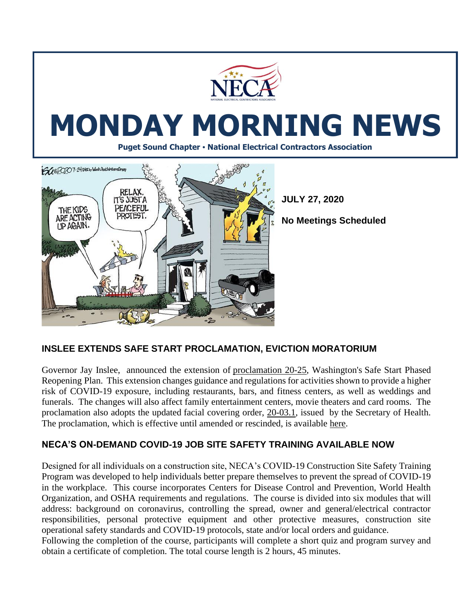

# **MONDAY MORNING NEWS**

**Puget Sound Chapter • National Electrical Contractors Association**



**JULY 27, 2020**

**No Meetings Scheduled** 

## **INSLEE EXTENDS SAFE START PROCLAMATION, EVICTION MORATORIUM**

Governor Jay Inslee, announced the extension of [proclamation](https://www.governor.wa.gov/sites/default/files/proclamations/proc_20-25.7.pdf?utm_medium=email&utm_source=govdelivery) 20-25, Washington's Safe Start [Phased](https://www.governor.wa.gov/sites/default/files/SafeStartPhasedReopening.pdf?utm_medium=email&utm_source=govdelivery) [Reopening](https://www.governor.wa.gov/sites/default/files/SafeStartPhasedReopening.pdf?utm_medium=email&utm_source=govdelivery) Plan. This extension changes guidance and regulations for activities shown to provide a higher risk of COVID-19 exposure, including restaurants, bars, and fitness centers, as well as weddings and funerals. The changes will also affect family entertainment centers, movie theaters and card rooms. The proclamation also adopts the updated facial [covering](https://www.doh.wa.gov/Portals/1/Documents/1600/coronavirus/Secretary_of_Health_Order_20-03_Statewide_Face_Coverings.pdf?utm_medium=email&utm_source=govdelivery) order, 20-03.1, issued by the Secretary of Health. The proclamation, which is effective until amended or rescinded, is available [here.](https://www.governor.wa.gov/sites/default/files/proclamations/proc_20-25.7.pdf?utm_medium=email&utm_source=govdelivery)

#### **NECA'S ON-DEMAND COVID-19 JOB SITE SAFETY TRAINING AVAILABLE NOW**

Designed for all individuals on a construction site, NECA's COVID-19 Construction Site Safety Training Program was developed to help individuals better prepare themselves to prevent the spread of COVID-19 in the workplace. This course incorporates Centers for Disease Control and Prevention, World Health Organization, and OSHA requirements and regulations. The course is divided into six modules that will address: background on coronavirus, controlling the spread, owner and general/electrical contractor responsibilities, personal protective equipment and other protective measures, construction site operational safety standards and COVID-19 protocols, state and/or local orders and guidance.

Following the completion of the course, participants will complete a short quiz and program survey and obtain a certificate of completion. The total course length is 2 hours, 45 minutes.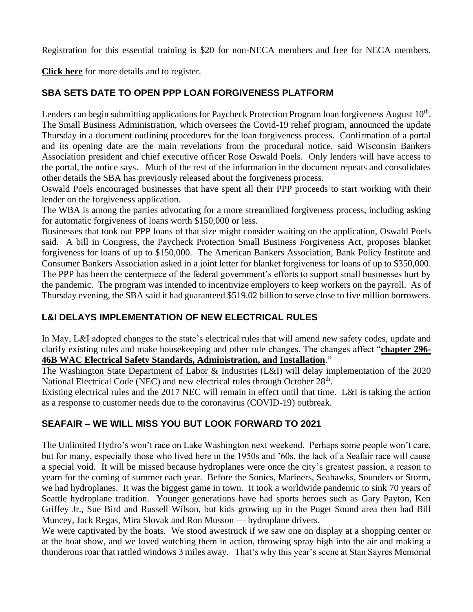Registration for this essential training is \$20 for non-NECA members and free for NECA members.

**[Click here](https://courses.necanet.org/course/details/539)** for more details and to register.

# **SBA SETS DATE TO OPEN PPP LOAN FORGIVENESS PLATFORM**

Lenders can begin submitting applications for Paycheck Protection Program loan forgiveness August 10<sup>th</sup>. The Small Business Administration, which oversees the Covid-19 relief program, announced the update Thursday in a document outlining procedures for the loan forgiveness process. Confirmation of a portal and its opening date are the main revelations from the procedural notice, said Wisconsin Bankers Association president and chief executive officer [Rose Oswald Poels.](https://www.bizjournals.com/seattle/search/results?q=Rose%20Oswald%20Poels) Only lenders will have access to the portal, the notice says. Much of the rest of the information in the document repeats and consolidates other details the SBA has previously released about the forgiveness process.

Oswald Poels encouraged businesses that have spent all their PPP proceeds to start working with their lender on the forgiveness application.

The WBA is among the parties advocating for a more streamlined forgiveness process, including asking for automatic forgiveness of loans worth \$150,000 or less.

Businesses that took out PPP loans of that size might consider waiting on the application, Oswald Poels said. A bill in Congress, the Paycheck Protection Small Business Forgiveness Act, proposes blanket forgiveness for loans of up to \$150,000. The American Bankers Association, Bank Policy Institute and Consumer Bankers Association [asked in a joint letter for blanket forgiveness for loans of up to \\$350,000.](https://www.bizjournals.com/milwaukee/news/2020/07/20/sba-ppp-paypal-support-blanket-loan-forgiveness.html) The PPP has been the centerpiece of the federal government's efforts to support small businesses hurt by the pandemic. The program was intended to incentivize employers to keep workers on the payroll. As of Thursday evening, the SBA said it had guaranteed \$519.02 billion to serve close to five million borrowers.

## **L&I DELAYS IMPLEMENTATION OF NEW ELECTRICAL RULES**

In May, L&I adopted changes to the state's electrical rules that will amend new safety codes, update and clarify existing rules and make housekeeping and other rule changes. The changes affect "**[chapter 296-](http://r20.rs6.net/tn.jsp?f=001Iuddj338j2FKs23-IfYMUqRJQFOAn_WMN-Ul_faE1ZvGsw_Jx7koi4Fx34fg9VW7S4oAE0yzVN3oHDZKUXs1qZBG6m1hGcxPfZKjjcJv_Co6hMqLB7DHlB504UjNPswGqW3EpZeMJKz6Nh3z_q0At_qKytGQKSxgAkKwZxLC-36Z7_XUEMLXeLx3x1YHsQPSdne4J5LYzvjB_H55ZvAoJhgcJDLJNssR0EvVdTCKgD1K_2XVH9DAAB8esf03j_4Q5-p7Dmt2IMQmYN8DGeRoqopQg3Hh1zNHUvwzTH_wPJ6zTO7RUMoCZX-5ALzM6FjsjQjBy2dT9id1HY6sChEkrVAE9xjYrQz3nM01MBNu_7_jpv_fq9Ea9WbwbcPJAD3CC2jJB75zUW2GX4ObwpbsumJSElZQi_MFc-VYAdLfOqOmcJMjsH3UroCpYJ6dLLqs_FJGLaEHgf20EJZstjV9m_F0afVh-qOKhXFJetMwzmsAMsBcvUAJGuVwlb-M7RGXh5SvVj3XIXHF_A7w1_8PGi1R0Qi07_Pi3YKeQoeH-ZIgcmpFBU7XeD9GaoCGe0RrGqHXAY0Y5po=&c=mRQdT8PfN9Tw7uxh3hiX7SY4nYryf3vlg0PlliF4o5yWY53hURYfng==&ch=VxGd48rw2b_z3i9EcjhULBWSOpHfE5uN8YP5VoSaKhQf0IQgM0JnPg==) 46B WAC Electrical [Safety Standards, Administration, and Installation](http://r20.rs6.net/tn.jsp?f=001Iuddj338j2FKs23-IfYMUqRJQFOAn_WMN-Ul_faE1ZvGsw_Jx7koi4Fx34fg9VW7S4oAE0yzVN3oHDZKUXs1qZBG6m1hGcxPfZKjjcJv_Co6hMqLB7DHlB504UjNPswGqW3EpZeMJKz6Nh3z_q0At_qKytGQKSxgAkKwZxLC-36Z7_XUEMLXeLx3x1YHsQPSdne4J5LYzvjB_H55ZvAoJhgcJDLJNssR0EvVdTCKgD1K_2XVH9DAAB8esf03j_4Q5-p7Dmt2IMQmYN8DGeRoqopQg3Hh1zNHUvwzTH_wPJ6zTO7RUMoCZX-5ALzM6FjsjQjBy2dT9id1HY6sChEkrVAE9xjYrQz3nM01MBNu_7_jpv_fq9Ea9WbwbcPJAD3CC2jJB75zUW2GX4ObwpbsumJSElZQi_MFc-VYAdLfOqOmcJMjsH3UroCpYJ6dLLqs_FJGLaEHgf20EJZstjV9m_F0afVh-qOKhXFJetMwzmsAMsBcvUAJGuVwlb-M7RGXh5SvVj3XIXHF_A7w1_8PGi1R0Qi07_Pi3YKeQoeH-ZIgcmpFBU7XeD9GaoCGe0RrGqHXAY0Y5po=&c=mRQdT8PfN9Tw7uxh3hiX7SY4nYryf3vlg0PlliF4o5yWY53hURYfng==&ch=VxGd48rw2b_z3i9EcjhULBWSOpHfE5uN8YP5VoSaKhQf0IQgM0JnPg==)**."

The [Washington State Department of Labor & Industries](http://r20.rs6.net/tn.jsp?f=001Iuddj338j2FKs23-IfYMUqRJQFOAn_WMN-Ul_faE1ZvGsw_Jx7koi4Fx34fg9VW7l-T-XPgihXMlYLVe5gVrLhsaLJAFoqZScoSRmSefQ6PS79RwPLiSuoE169x3uNqKM2WXO-DM1iiL-EljrAZmSIdXqZC4PRf9c-Dvk6eAswOvNlcYqylHCLM1IbSHGt8d090P7GbQL0ZWWHINmdvhbm0eR0pzDa5SJe4TSfwJ2ICWscSCAKtHkEdjxm-wd7uL-vW_SirI_ClLc0ryiXFBSHlotdvqtbOboUF5ToJIc7jQksUkxCNd47-JCGkCBkZFY6BxgUBzuEa1FKlQxRu-n2Vhl-3jTWSZDPHtVu1RW7MVRKgnYoundPYZqZnQ2-Q3MCdiQ0ZS8ZrIZVcNdyfeyTGGDpkgWbwoaGsC8wdHXbmD76ULOHA19BnMnphDW0s3NDvibQ6osSiZA8YGfmL0AaT7XYhAKBp_RyYUiWGq8kK-3_4OMQwPahDsyT3VC5cFD7UNd8myJz15jXTPm3r1z8Z5m0jSFoe7&c=mRQdT8PfN9Tw7uxh3hiX7SY4nYryf3vlg0PlliF4o5yWY53hURYfng==&ch=VxGd48rw2b_z3i9EcjhULBWSOpHfE5uN8YP5VoSaKhQf0IQgM0JnPg==) (L&I) will delay implementation of the 2020 National Electrical Code (NEC) and new electrical rules through October 28<sup>th</sup>.

Existing electrical rules and the 2017 NEC will remain in effect until that time. L&I is taking the action as a response to customer needs due to the coronavirus (COVID-19) outbreak.

## **SEAFAIR – WE WILL MISS YOU BUT LOOK FORWARD TO 2021**

The Unlimited Hydro's won't race on Lake Washington next weekend. Perhaps some people won't care, but for many, especially those who lived here in the 1950s and '60s, the lack of a Seafair race will cause a special void. It will be missed because hydroplanes were once the city's greatest passion, a reason to yearn for the coming of summer each year. Before the Sonics, Mariners, Seahawks, Sounders or Storm, we had hydroplanes. It was the biggest game in town. It took a worldwide pandemic to sink 70 years of Seattle hydroplane tradition. Younger generations have had sports heroes such as Gary Payton, Ken Griffey Jr., Sue Bird and Russell Wilson, but kids growing up in the Puget Sound area then had Bill Muncey, Jack Regas, Mira Slovak and Ron Musson — hydroplane drivers.

We were captivated by the boats. We stood awestruck if we saw one on display at a shopping center or at the boat show, and we loved watching them in action, throwing spray high into the air and making a thunderous roar that rattled windows 3 miles away. That's why this year's scene at Stan Sayres Memorial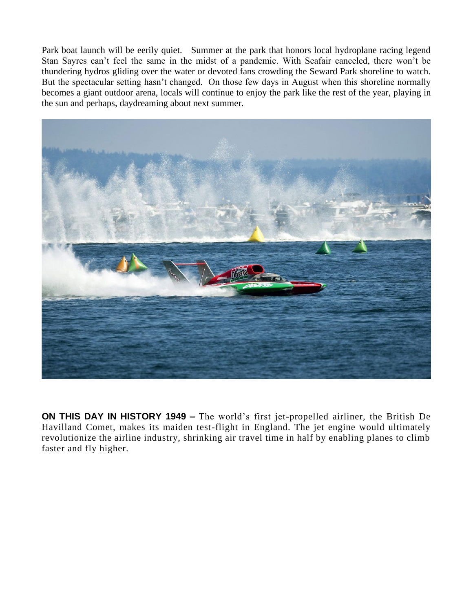Park boat launch will be eerily quiet. Summer at the park that honors local hydroplane racing legend Stan Sayres can't feel the same in the midst of a pandemic. With Seafair canceled, there won't be thundering hydros gliding over the water or devoted fans crowding the Seward Park shoreline to watch. But the spectacular setting hasn't changed. On those few days in August when this shoreline normally becomes a giant outdoor arena, locals will continue to enjoy the park like the rest of the year, playing in the sun and perhaps, daydreaming about next summer.



**ON THIS DAY IN HISTORY 1949 –** The world's first jet-propelled airliner, the British De Havilland Comet, makes its maiden test-flight in England. The jet engine would ultimately revolutionize the airline industry, shrinking air travel time in half by enabling planes to climb faster and fly higher.